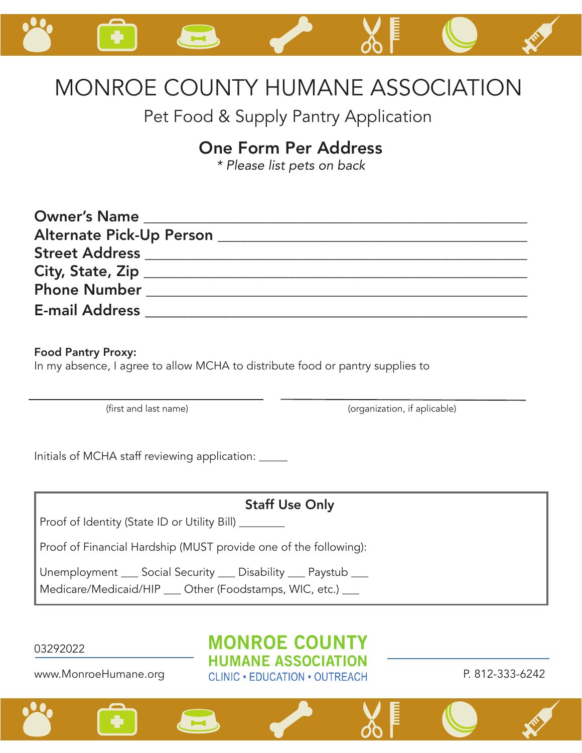

## MONROE COUNTY HUMANE ASSOCIATION

Pet Food & Supply Pantry Application

## One Form Per Address

*\* Please list pets on back*

| <b>Owner's Name</b>   |  |
|-----------------------|--|
|                       |  |
|                       |  |
|                       |  |
| <b>Phone Number</b>   |  |
| <b>E-mail Address</b> |  |

Food Pantry Proxy:

In my absence, I agree to allow MCHA to distribute food or pantry supplies to

(first and last name)  $(organization, if applicable)$ 

Initials of MCHA staff reviewing application: \_\_\_\_\_

| <b>Staff Use Only</b>                                                                                                        |
|------------------------------------------------------------------------------------------------------------------------------|
| Proof of Identity (State ID or Utility Bill) ______                                                                          |
| Proof of Financial Hardship (MUST provide one of the following):                                                             |
| Unemployment ___ Social Security ___ Disability ___ Paystub ___<br>Medicare/Medicaid/HIP __ Other (Foodstamps, WIC, etc.) __ |

03292022

www.MonroeHumane.org

**MONROE COUNTY HUMANE ASSOCIATION** CLINIC · EDUCATION · OUTREACH P. 812-333-6242